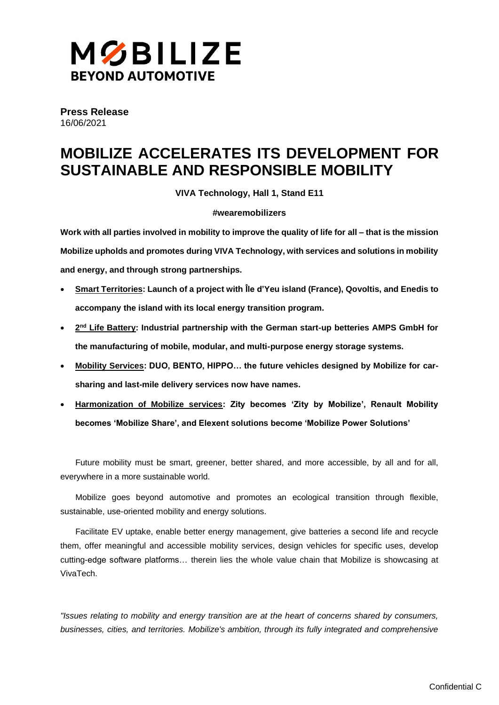

**Press Release** 16/06/2021

# **MOBILIZE ACCELERATES ITS DEVELOPMENT FOR SUSTAINABLE AND RESPONSIBLE MOBILITY**

**VIVA Technology, Hall 1, Stand E11**

#### **#wearemobilizers**

**Work with all parties involved in mobility to improve the quality of life for all – that is the mission Mobilize upholds and promotes during VIVA Technology, with services and solutions in mobility and energy, and through strong partnerships.**

- **Smart Territories: Launch of a project with Île d'Yeu island (France), Qovoltis, and Enedis to accompany the island with its local energy transition program.**
- 2<sup>nd</sup> Life Battery: Industrial partnership with the German start-up betteries AMPS GmbH for **the manufacturing of mobile, modular, and multi-purpose energy storage systems.**
- **Mobility Services: DUO, BENTO, HIPPO… the future vehicles designed by Mobilize for carsharing and last-mile delivery services now have names.**
- **Harmonization of Mobilize services: Zity becomes 'Zity by Mobilize', Renault Mobility becomes 'Mobilize Share', and Elexent solutions become 'Mobilize Power Solutions'**

Future mobility must be smart, greener, better shared, and more accessible, by all and for all, everywhere in a more sustainable world.

Mobilize goes beyond automotive and promotes an ecological transition through flexible, sustainable, use-oriented mobility and energy solutions.

Facilitate EV uptake, enable better energy management, give batteries a second life and recycle them, offer meaningful and accessible mobility services, design vehicles for specific uses, develop cutting-edge software platforms… therein lies the whole value chain that Mobilize is showcasing at VivaTech.

*"Issues relating to mobility and energy transition are at the heart of concerns shared by consumers, businesses, cities, and territories. Mobilize's ambition, through its fully integrated and comprehensive*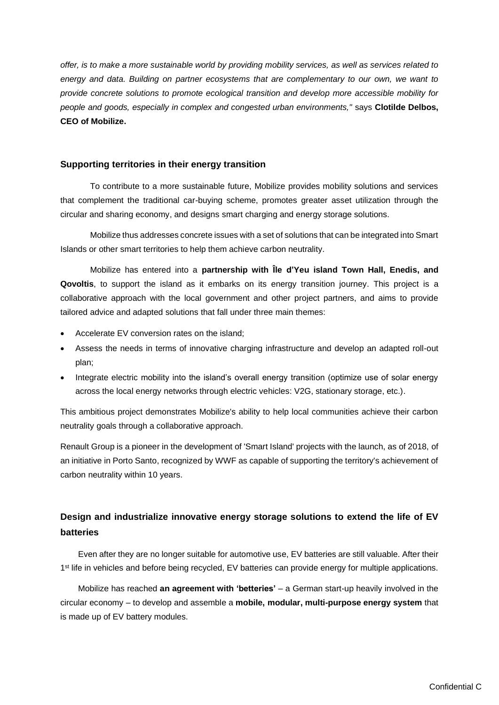*offer, is to make a more sustainable world by providing mobility services, as well as services related to energy and data. Building on partner ecosystems that are complementary to our own, we want to provide concrete solutions to promote ecological transition and develop more accessible mobility for people and goods, especially in complex and congested urban environments,"* says **Clotilde Delbos, CEO of Mobilize.**

### **Supporting territories in their energy transition**

To contribute to a more sustainable future, Mobilize provides mobility solutions and services that complement the traditional car-buying scheme, promotes greater asset utilization through the circular and sharing economy, and designs smart charging and energy storage solutions.

Mobilize thus addresses concrete issues with a set of solutions that can be integrated into Smart Islands or other smart territories to help them achieve carbon neutrality.

Mobilize has entered into a **partnership with Île d'Yeu island Town Hall, Enedis, and Qovoltis**, to support the island as it embarks on its energy transition journey. This project is a collaborative approach with the local government and other project partners, and aims to provide tailored advice and adapted solutions that fall under three main themes:

- Accelerate EV conversion rates on the island;
- Assess the needs in terms of innovative charging infrastructure and develop an adapted roll-out plan;
- Integrate electric mobility into the island's overall energy transition (optimize use of solar energy across the local energy networks through electric vehicles: V2G, stationary storage, etc.).

This ambitious project demonstrates Mobilize's ability to help local communities achieve their carbon neutrality goals through a collaborative approach.

Renault Group is a pioneer in the development of 'Smart Island' projects with the launch, as of 2018, of an initiative in Porto Santo, recognized by WWF as capable of supporting the territory's achievement of carbon neutrality within 10 years.

## **Design and industrialize innovative energy storage solutions to extend the life of EV batteries**

Even after they are no longer suitable for automotive use, EV batteries are still valuable. After their 1<sup>st</sup> life in vehicles and before being recycled, EV batteries can provide energy for multiple applications.

Mobilize has reached **an agreement with 'betteries'** – a German start-up heavily involved in the circular economy – to develop and assemble a **mobile, modular, multi-purpose energy system** that is made up of EV battery modules.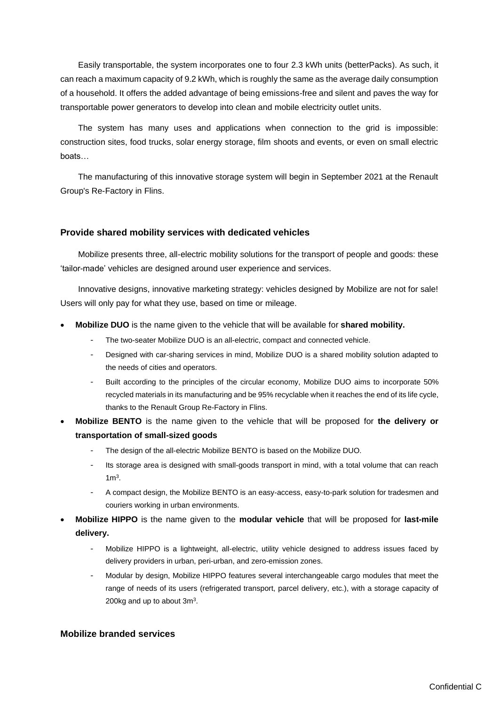Easily transportable, the system incorporates one to four 2.3 kWh units (betterPacks). As such, it can reach a maximum capacity of 9.2 kWh, which is roughly the same as the average daily consumption of a household. It offers the added advantage of being emissions-free and silent and paves the way for transportable power generators to develop into clean and mobile electricity outlet units.

The system has many uses and applications when connection to the grid is impossible: construction sites, food trucks, solar energy storage, film shoots and events, or even on small electric boats…

The manufacturing of this innovative storage system will begin in September 2021 at the Renault Group's Re-Factory in Flins.

#### **Provide shared mobility services with dedicated vehicles**

Mobilize presents three, all-electric mobility solutions for the transport of people and goods: these 'tailor-made' vehicles are designed around user experience and services.

Innovative designs, innovative marketing strategy: vehicles designed by Mobilize are not for sale! Users will only pay for what they use, based on time or mileage.

- **Mobilize DUO** is the name given to the vehicle that will be available for **shared mobility.**
	- The two-seater Mobilize DUO is an all-electric, compact and connected vehicle.
	- Designed with car-sharing services in mind, Mobilize DUO is a shared mobility solution adapted to the needs of cities and operators.
	- Built according to the principles of the circular economy, Mobilize DUO aims to incorporate 50% recycled materials in its manufacturing and be 95% recyclable when it reaches the end of its life cycle, thanks to the Renault Group Re-Factory in Flins.
- **Mobilize BENTO** is the name given to the vehicle that will be proposed for **the delivery or transportation of small-sized goods**
	- The design of the all-electric Mobilize BENTO is based on the Mobilize DUO.
	- Its storage area is designed with small-goods transport in mind, with a total volume that can reach  $1<sup>m3</sup>$ .
	- A compact design, the Mobilize BENTO is an easy-access, easy-to-park solution for tradesmen and couriers working in urban environments.
- **Mobilize HIPPO** is the name given to the **modular vehicle** that will be proposed for **last-mile delivery.**
	- Mobilize HIPPO is a lightweight, all-electric, utility vehicle designed to address issues faced by delivery providers in urban, peri-urban, and zero-emission zones.
	- Modular by design, Mobilize HIPPO features several interchangeable cargo modules that meet the range of needs of its users (refrigerated transport, parcel delivery, etc.), with a storage capacity of 200 $kg$  and up to about 3 $m<sup>3</sup>$ .

#### **Mobilize branded services**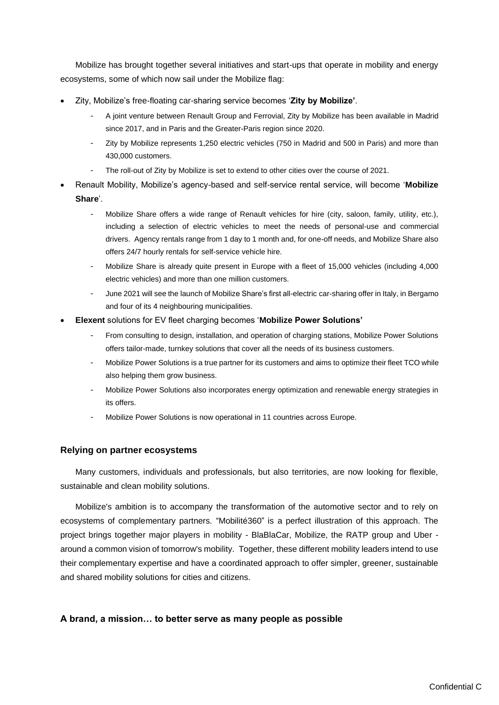Mobilize has brought together several initiatives and start-ups that operate in mobility and energy ecosystems, some of which now sail under the Mobilize flag:

- Zity, Mobilize's free-floating car-sharing service becomes '**Zity by Mobilize'**.
	- A joint venture between Renault Group and Ferrovial, Zity by Mobilize has been available in Madrid since 2017, and in Paris and the Greater-Paris region since 2020.
	- Zity by Mobilize represents 1,250 electric vehicles (750 in Madrid and 500 in Paris) and more than 430,000 customers.
	- The roll-out of Zity by Mobilize is set to extend to other cities over the course of 2021.
- Renault Mobility, Mobilize's agency-based and self-service rental service, will become '**Mobilize Share**'.
	- Mobilize Share offers a wide range of Renault vehicles for hire (city, saloon, family, utility, etc.), including a selection of electric vehicles to meet the needs of personal-use and commercial drivers. Agency rentals range from 1 day to 1 month and, for one-off needs, and Mobilize Share also offers 24/7 hourly rentals for self-service vehicle hire.
	- Mobilize Share is already quite present in Europe with a fleet of 15,000 vehicles (including 4,000 electric vehicles) and more than one million customers.
	- June 2021 will see the launch of Mobilize Share's first all-electric car-sharing offer in Italy, in Bergamo and four of its 4 neighbouring municipalities.
- **Elexent** solutions for EV fleet charging becomes '**Mobilize Power Solutions'**
	- From consulting to design, installation, and operation of charging stations, Mobilize Power Solutions offers tailor-made, turnkey solutions that cover all the needs of its business customers.
	- Mobilize Power Solutions is a true partner for its customers and aims to optimize their fleet TCO while also helping them grow business.
	- Mobilize Power Solutions also incorporates energy optimization and renewable energy strategies in its offers.
	- Mobilize Power Solutions is now operational in 11 countries across Europe.

#### **Relying on partner ecosystems**

Many customers, individuals and professionals, but also territories, are now looking for flexible, sustainable and clean mobility solutions.

Mobilize's ambition is to accompany the transformation of the automotive sector and to rely on ecosystems of complementary partners. "Mobilité360" is a perfect illustration of this approach. The project brings together major players in mobility - BlaBlaCar, Mobilize, the RATP group and Uber around a common vision of tomorrow's mobility. Together, these different mobility leaders intend to use their complementary expertise and have a coordinated approach to offer simpler, greener, sustainable and shared mobility solutions for cities and citizens.

#### **A brand, a mission… to better serve as many people as possible**